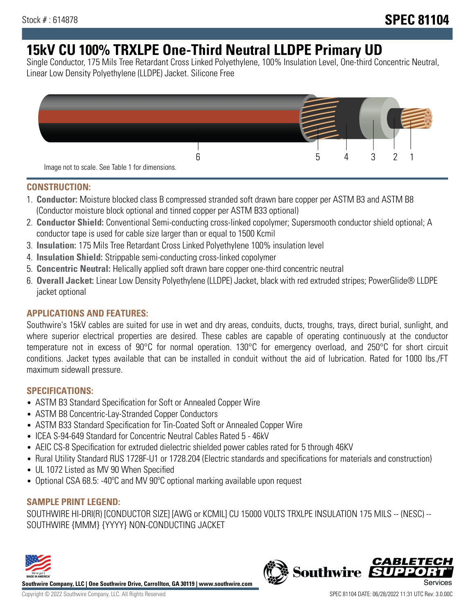# **15kV CU 100% TRXLPE One-Third Neutral LLDPE Primary UD**

Single Conductor, 175 Mils Tree Retardant Cross Linked Polyethylene, 100% Insulation Level, One-third Concentric Neutral, Linear Low Density Polyethylene (LLDPE) Jacket. Silicone Free



### **CONSTRUCTION:**

- 1. **Conductor:** Moisture blocked class B compressed stranded soft drawn bare copper per ASTM B3 and ASTM B8 (Conductor moisture block optional and tinned copper per ASTM B33 optional)
- 2. **Conductor Shield:** Conventional Semi-conducting cross-linked copolymer; Supersmooth conductor shield optional; A conductor tape is used for cable size larger than or equal to 1500 Kcmil
- 3. **Insulation:** 175 Mils Tree Retardant Cross Linked Polyethylene 100% insulation level
- 4. **Insulation Shield:** Strippable semi-conducting cross-linked copolymer
- 5. **Concentric Neutral:** Helically applied soft drawn bare copper one-third concentric neutral
- 6. **Overall Jacket:** Linear Low Density Polyethylene (LLDPE) Jacket, black with red extruded stripes; PowerGlide® LLDPE jacket optional

### **APPLICATIONS AND FEATURES:**

Southwire's 15kV cables are suited for use in wet and dry areas, conduits, ducts, troughs, trays, direct burial, sunlight, and where superior electrical properties are desired. These cables are capable of operating continuously at the conductor temperature not in excess of 90°C for normal operation. 130°C for emergency overload, and 250°C for short circuit conditions. Jacket types available that can be installed in conduit without the aid of lubrication. Rated for 1000 lbs./FT maximum sidewall pressure.

### **SPECIFICATIONS:**

- ASTM B3 Standard Specification for Soft or Annealed Copper Wire
- ASTM B8 Concentric-Lay-Stranded Copper Conductors
- ASTM B33 Standard Specification for Tin-Coated Soft or Annealed Copper Wire
- ICEA S-94-649 Standard for Concentric Neutral Cables Rated 5 46kV
- AEIC CS-8 Specification for extruded dielectric shielded power cables rated for 5 through 46KV
- Rural Utility Standard RUS 1728F-U1 or 1728.204 (Electric standards and specifications for materials and construction)
- UL 1072 Listed as MV 90 When Specified
- Optional CSA 68.5: -40ºC and MV 90ºC optional marking available upon request

## **SAMPLE PRINT LEGEND:**

SOUTHWIRE HI-DRI(R) [CONDUCTOR SIZE] [AWG or KCMIL] CU 15000 VOLTS TRXLPE INSULATION 175 MILS -- (NESC) -- SOUTHWIRE {MMM} {YYYY} NON-CONDUCTING JACKET



**Southwire Company, LLC | One Southwire Drive, Carrollton, GA 30119 | www.southwire.com**

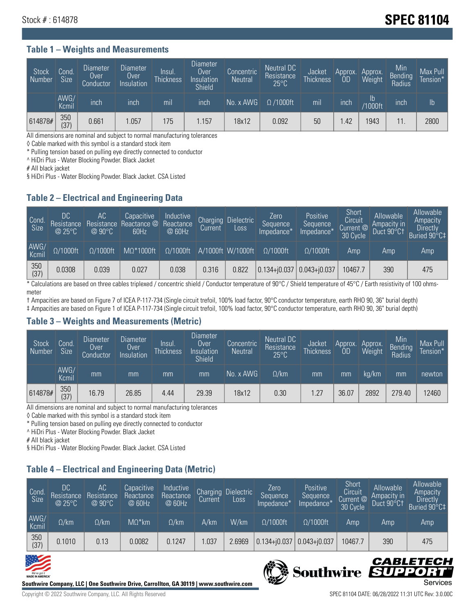## **Stock # : 614878 Stock # : 614878**

#### **Table 1 – Weights and Measurements**

| Stock<br>Number | Cond.<br><b>Size</b> | <b>Diameter</b><br>Over<br>Conductor | Diameter<br>Over<br>Insulation | Insul.<br><b>Thickness</b> | <b>Diameter</b><br>Over<br>Insulation<br><b>Shield</b> | Concentric<br><b>Neutral</b> | Neutral DC<br>Resistance<br>$25^{\circ}$ C | Jacket<br><b>Thickness</b> | Approx.<br><b>OD</b> | Approx.<br>Weight | Min<br><b>Bending</b><br>Radius | Max Pull<br>Tension* |
|-----------------|----------------------|--------------------------------------|--------------------------------|----------------------------|--------------------------------------------------------|------------------------------|--------------------------------------------|----------------------------|----------------------|-------------------|---------------------------------|----------------------|
|                 | AWG/<br>Kcmil        | inch                                 | inch                           | mil                        | inch                                                   | No. x AWG                    | $\Omega$ /1000ft                           | mil                        | inch                 | Ib<br>/1000ft     | inch                            | $\mathsf{lb}$        |
| 614878#         | 350<br>(37)          | 0.661                                | 1.057                          | 175                        | .157                                                   | 18x12                        | 0.092                                      | 50                         | .42                  | 1943              |                                 | 2800                 |

All dimensions are nominal and subject to normal manufacturing tolerances

◊ Cable marked with this symbol is a standard stock item

\* Pulling tension based on pulling eye directly connected to conductor

^ HiDri Plus - Water Blocking Powder. Black Jacket

# All black jacket

§ HiDri Plus - Water Blocking Powder. Black Jacket. CSA Listed

### **Table 2 – Electrical and Engineering Data**

| Cond<br>Size  | DC<br>Resistance<br>@25°C | АC<br>$\omega$ 90°C. | Capacitive<br>Resistance Reactance @<br>60Hz | Inductive<br>Reactance<br>@ 60Hz | <b>Charging</b><br>Current | <b>Dielectric</b><br>Loss | Zero<br>Sequence<br>Impedance* | Positive<br>Sequence<br>Impedance <sup>*</sup> | Short<br>Circuit<br>Current @<br>30 Cycle | Allowable<br>Ampacity in<br>Duct 90°C+ | Allowable<br>Ampacity<br><b>Directly</b><br>Buried 90°C‡ |
|---------------|---------------------------|----------------------|----------------------------------------------|----------------------------------|----------------------------|---------------------------|--------------------------------|------------------------------------------------|-------------------------------------------|----------------------------------------|----------------------------------------------------------|
| AWG/<br>Kcmil | $\Omega/1000$ ft          | $\Omega/1000$ ft     | $M\Omega^*1000$ ft                           | $\Omega/1000$ ft                 |                            | A/1000ft W/1000ft         | $O/1000$ ft                    | $\Omega$ /1000ft                               | Amp                                       | Amp                                    | Amp                                                      |
| 350<br>(37)   | 0.0308                    | 0.039                | 0.027                                        | 0.038                            | 0.316                      | 0.822                     | $0.134 + 0.037$ 0.043+ $0.037$ |                                                | 10467.7                                   | 390                                    | 475                                                      |

\* Calculations are based on three cables triplexed / concentric shield / Conductor temperature of 90°C / Shield temperature of 45°C / Earth resistivity of 100 ohmsmeter

† Ampacities are based on Figure 7 of ICEA P-117-734 (Single circuit trefoil, 100% load factor, 90°C conductor temperature, earth RHO 90, 36" burial depth) ‡ Ampacities are based on Figure 1 of ICEA P-117-734 (Single circuit trefoil, 100% load factor, 90°C conductor temperature, earth RHO 90, 36" burial depth)

### **Table 3 – Weights and Measurements (Metric)**

| Stock<br>Number | Cond.<br><b>Size</b> | <b>Diameter</b><br>Over<br>Conductor | Diameter<br>Over<br>Insulation | Insul.<br><b>Thickness</b> | <b>Diameter</b><br>Over<br>Insulation<br><b>Shield</b> | Concentric<br><b>Neutral</b> | Neutral DC<br>Resistance<br>$25^{\circ}$ C | Jacket<br><b>Thickness</b> | Approx.<br>0D | Approx.<br>Weight | Min<br>Bending | Max Pull<br>Tension* |
|-----------------|----------------------|--------------------------------------|--------------------------------|----------------------------|--------------------------------------------------------|------------------------------|--------------------------------------------|----------------------------|---------------|-------------------|----------------|----------------------|
|                 | AWG/<br>Kcmil        | mm                                   | mm                             | mm                         | mm                                                     | No. x AWG                    | $\Omega$ /km                               | mm                         | mm            | ka/km             | mm             | newton               |
| 614878#         | 350<br>(37)          | 16.79                                | 26.85                          | 4.44                       | 29.39                                                  | 18x12                        | 0.30                                       | 1.27                       | 36.07         | 2892              | 279.40         | 12460                |

All dimensions are nominal and subject to normal manufacturing tolerances

◊ Cable marked with this symbol is a standard stock item

\* Pulling tension based on pulling eye directly connected to conductor

^ HiDri Plus - Water Blocking Powder. Black Jacket

# All black jacket

§ HiDri Plus - Water Blocking Powder. Black Jacket. CSA Listed

### **Table 4 – Electrical and Engineering Data (Metric)**

| Cond<br>Size  | DC<br>Resistance<br>@25°C | АC<br>Resistance<br>@90°C | Capacitive<br>Reactance<br>@ 60Hz | Inductive<br>Reactance<br>@ 60Hz | Charging<br><b>Current</b> | <b>Dielectric</b><br>Loss. | Zero<br>Sequence<br>Impedance* | Positive<br>Sequence<br>Impedance* | Short<br>Circuit<br>Current @<br>30 Cycle | Allowable<br>Ampacity in<br>Duct 90°Ct | Allowable<br>Ampacity<br>Directly<br>Buried 90°C‡ |
|---------------|---------------------------|---------------------------|-----------------------------------|----------------------------------|----------------------------|----------------------------|--------------------------------|------------------------------------|-------------------------------------------|----------------------------------------|---------------------------------------------------|
| AWG/<br>Kcmil | $\Omega$ /km              | $\Omega$ /km              | $M\Omega^*$ km                    | $\Omega$ /km                     | A/km                       | W/km                       | $\Omega/1000$ ft               | $\Omega/1000$ ft                   | Amp                                       | Amp                                    | Amp                                               |
| 350<br>(37)   | 0.1010                    | 0.13                      | 0.0082                            | 0.1247                           | .037                       | 2.6969                     | $0.134 + j0.037$               | $0.043 + j0.037$                   | 10467.7                                   | 390                                    | 475                                               |





Southwire SUP

CABLETECI

Ð